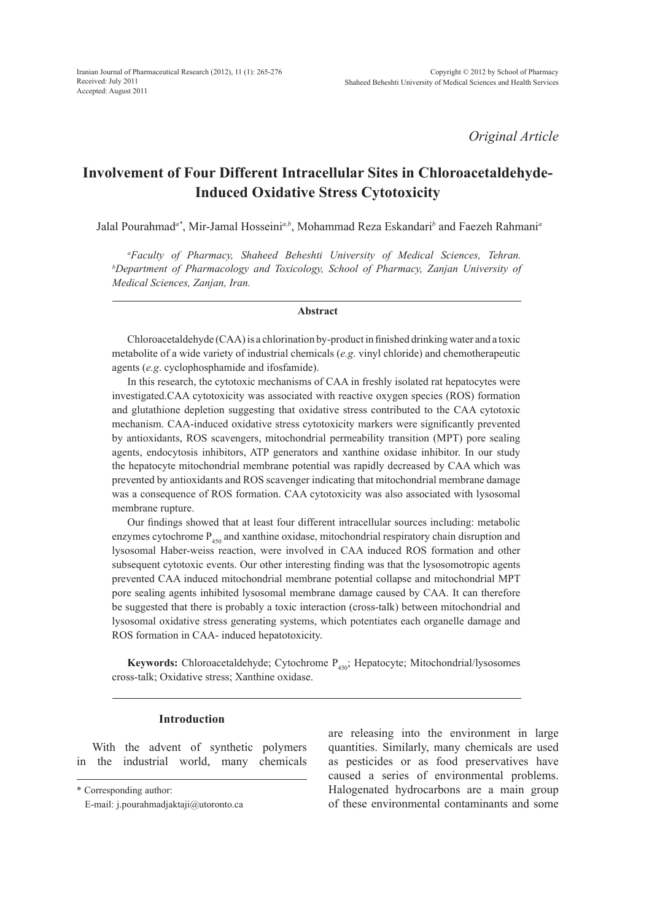*Original Article*

# **Involvement of Four Different Intracellular Sites in Chloroacetaldehyde-Induced Oxidative Stress Cytotoxicity**

Jalal Pourahmad<sup>a\*</sup>, Mir-Jamal Hosseini<sup>a,b</sup>, Mohammad Reza Eskandari<sup>b</sup> and Faezeh Rahmani<sup>a</sup>

*a Faculty of Pharmacy, Shaheed Beheshti University of Medical Sciences, Tehran. b Department of Pharmacology and Toxicology, School of Pharmacy, Zanjan University of Medical Sciences, Zanjan, Iran.*

### **Abstract**

Chloroacetaldehyde (CAA) is a chlorination by-product in finished drinking water and a toxic metabolite of a wide variety of industrial chemicals (*e.g*. vinyl chloride) and chemotherapeutic agents (*e.g*. cyclophosphamide and ifosfamide).

In this research, the cytotoxic mechanisms of CAA in freshly isolated rat hepatocytes were investigated.CAA cytotoxicity was associated with reactive oxygen species (ROS) formation and glutathione depletion suggesting that oxidative stress contributed to the CAA cytotoxic mechanism. CAA-induced oxidative stress cytotoxicity markers were significantly prevented by antioxidants, ROS scavengers, mitochondrial permeability transition (MPT) pore sealing agents, endocytosis inhibitors, ATP generators and xanthine oxidase inhibitor. In our study the hepatocyte mitochondrial membrane potential was rapidly decreased by CAA which was prevented by antioxidants and ROS scavenger indicating that mitochondrial membrane damage was a consequence of ROS formation. CAA cytotoxicity was also associated with lysosomal membrane rupture.

Our findings showed that at least four different intracellular sources including: metabolic enzymes cytochrome  $P_{450}$  and xanthine oxidase, mitochondrial respiratory chain disruption and lysosomal Haber-weiss reaction, were involved in CAA induced ROS formation and other subsequent cytotoxic events. Our other interesting finding was that the lysosomotropic agents prevented CAA induced mitochondrial membrane potential collapse and mitochondrial MPT pore sealing agents inhibited lysosomal membrane damage caused by CAA. It can therefore be suggested that there is probably a toxic interaction (cross-talk) between mitochondrial and lysosomal oxidative stress generating systems, which potentiates each organelle damage and ROS formation in CAA- induced hepatotoxicity.

**Keywords:** Chloroacetaldehyde; Cytochrome P<sub>450</sub>; Hepatocyte; Mitochondrial/lysosomes cross-talk; Oxidative stress; Xanthine oxidase.

### **Introduction**

With the advent of synthetic polymers in the industrial world, many chemicals are releasing into the environment in large quantities. Similarly, many chemicals are used as pesticides or as food preservatives have caused a series of environmental problems. Halogenated hydrocarbons are a main group of these environmental contaminants and some

<sup>\*</sup> Corresponding author:

E-mail: j.pourahmadjaktaji@utoronto.ca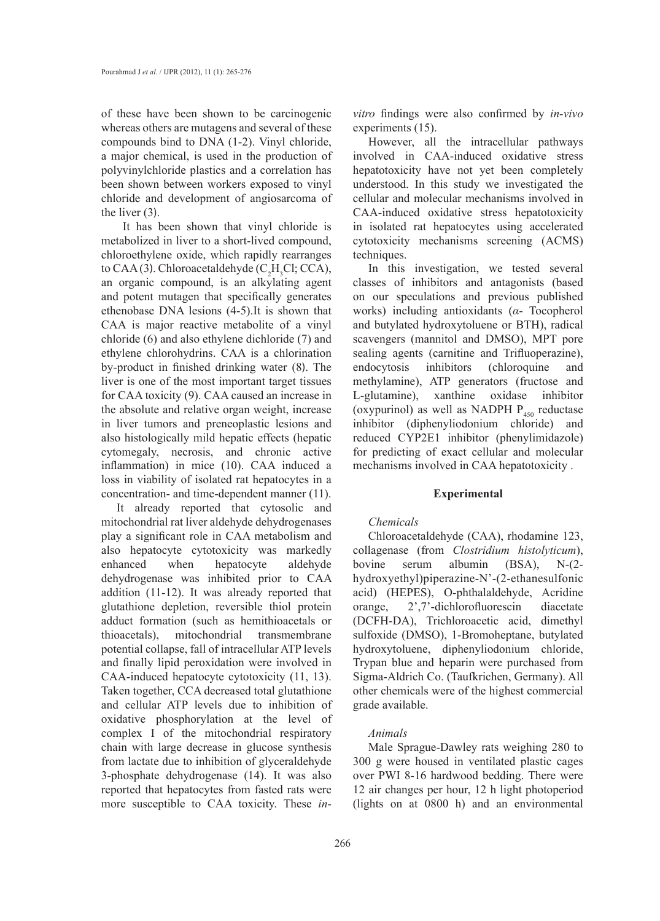of these have been shown to be carcinogenic whereas others are mutagens and several of these compounds bind to DNA (1-2). Vinyl chloride, a major chemical, is used in the production of polyvinylchloride plastics and a correlation has been shown between workers exposed to vinyl chloride and development of angiosarcoma of the liver (3).

 It has been shown that vinyl chloride is metabolized in liver to a short-lived compound, chloroethylene oxide, which rapidly rearranges to CAA (3). Chloroacetaldehyde (C<sub>2</sub>H<sub>3</sub>Cl; CCA), an organic compound, is an alkylating agent and potent mutagen that specifically generates ethenobase DNA lesions (4-5).It is shown that CAA is major reactive metabolite of a vinyl chloride (6) and also ethylene dichloride (7) and ethylene chlorohydrins. CAA is a chlorination by-product in finished drinking water (8). The liver is one of the most important target tissues for CAA toxicity (9). CAA caused an increase in the absolute and relative organ weight, increase in liver tumors and preneoplastic lesions and also histologically mild hepatic effects (hepatic cytomegaly, necrosis, and chronic active inflammation) in mice (10). CAA induced a loss in viability of isolated rat hepatocytes in a concentration- and time-dependent manner (11).

It already reported that cytosolic and mitochondrial rat liver aldehyde dehydrogenases play a significant role in CAA metabolism and also hepatocyte cytotoxicity was markedly enhanced when hepatocyte aldehyde dehydrogenase was inhibited prior to CAA addition (11-12). It was already reported that glutathione depletion, reversible thiol protein adduct formation (such as hemithioacetals or thioacetals), mitochondrial transmembrane potential collapse, fall of intracellular ATP levels and finally lipid peroxidation were involved in CAA-induced hepatocyte cytotoxicity (11, 13). Taken together, CCA decreased total glutathione and cellular ATP levels due to inhibition of oxidative phosphorylation at the level of complex I of the mitochondrial respiratory chain with large decrease in glucose synthesis from lactate due to inhibition of glyceraldehyde 3-phosphate dehydrogenase (14). It was also reported that hepatocytes from fasted rats were more susceptible to CAA toxicity. These *in-* *vitro* findings were also confirmed by *in-vivo* experiments (15).

However, all the intracellular pathways involved in CAA-induced oxidative stress hepatotoxicity have not yet been completely understood. In this study we investigated the cellular and molecular mechanisms involved in CAA-induced oxidative stress hepatotoxicity in isolated rat hepatocytes using accelerated cytotoxicity mechanisms screening (ACMS) techniques.

In this investigation, we tested several classes of inhibitors and antagonists (based on our speculations and previous published works) including antioxidants (*α*- Tocopherol and butylated hydroxytoluene or BTH), radical scavengers (mannitol and DMSO), MPT pore sealing agents (carnitine and Trifluoperazine), endocytosis inhibitors (chloroquine and methylamine), ATP generators (fructose and L-glutamine), xanthine oxidase inhibitor (oxypurinol) as well as NADPH  $P_{450}$  reductase inhibitor (diphenyliodonium chloride) and reduced CYP2E1 inhibitor (phenylimidazole) for predicting of exact cellular and molecular mechanisms involved in CAA hepatotoxicity .

### **Experimental**

# *Chemicals*

Chloroacetaldehyde (CAA), rhodamine 123, collagenase (from *Clostridium histolyticum*), bovine serum albumin (BSA), N-(2 hydroxyethyl)piperazine-N'-(2-ethanesulfonic acid) (HEPES), O-phthalaldehyde, Acridine orange, 2',7'-dichlorofluorescin diacetate (DCFH-DA), Trichloroacetic acid, dimethyl sulfoxide (DMSO), 1-Bromoheptane, butylated hydroxytoluene, diphenyliodonium chloride, Trypan blue and heparin were purchased from Sigma-Aldrich Co. (Taufkrichen, Germany). All other chemicals were of the highest commercial grade available.

### *Animals*

Male Sprague-Dawley rats weighing 280 to 300 g were housed in ventilated plastic cages over PWI 8-16 hardwood bedding. There were 12 air changes per hour, 12 h light photoperiod (lights on at 0800 h) and an environmental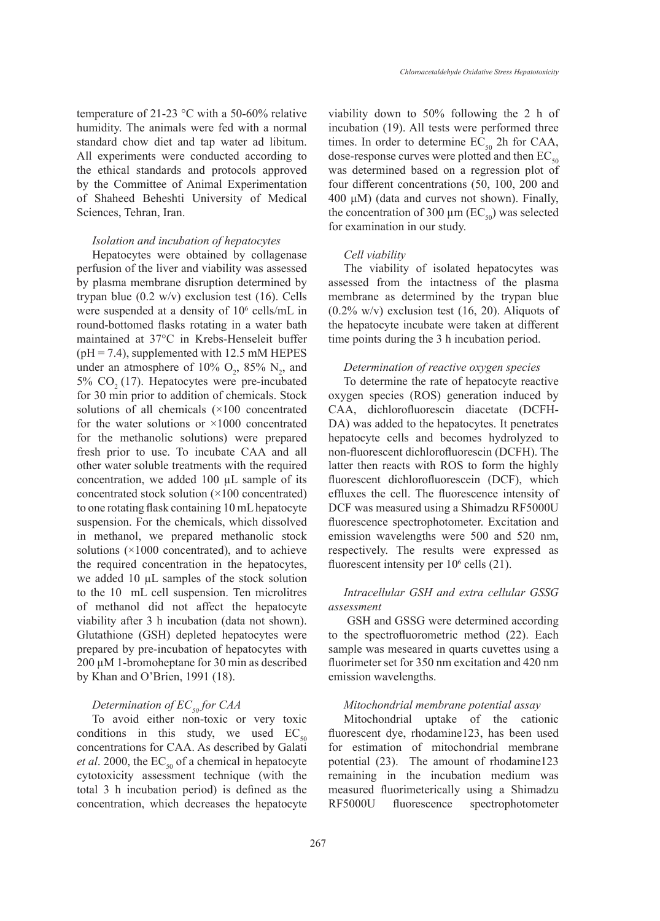temperature of 21-23 °C with a 50-60% relative humidity. The animals were fed with a normal standard chow diet and tap water ad libitum. All experiments were conducted according to the ethical standards and protocols approved by the Committee of Animal Experimentation of Shaheed Beheshti University of Medical Sciences, Tehran, Iran.

#### *Isolation and incubation of hepatocytes*

Hepatocytes were obtained by collagenase perfusion of the liver and viability was assessed by plasma membrane disruption determined by trypan blue  $(0.2 \text{ w/v})$  exclusion test  $(16)$ . Cells were suspended at a density of  $10^6$  cells/mL in round-bottomed flasks rotating in a water bath maintained at 37°C in Krebs-Henseleit buffer  $(pH = 7.4)$ , supplemented with 12.5 mM HEPES under an atmosphere of 10%  $O_2$ , 85%  $N_2$ , and  $5\%$  CO<sub>2</sub> (17). Hepatocytes were pre-incubated for 30 min prior to addition of chemicals. Stock solutions of all chemicals (×100 concentrated for the water solutions or  $\times 1000$  concentrated for the methanolic solutions) were prepared fresh prior to use. To incubate CAA and all other water soluble treatments with the required concentration, we added 100 µL sample of its concentrated stock solution (×100 concentrated) to one rotating flask containing 10 mL hepatocyte suspension. For the chemicals, which dissolved in methanol, we prepared methanolic stock solutions (×1000 concentrated), and to achieve the required concentration in the hepatocytes, we added 10 µL samples of the stock solution to the 10 mL cell suspension. Ten microlitres of methanol did not affect the hepatocyte viability after 3 h incubation (data not shown). Glutathione (GSH) depleted hepatocytes were prepared by pre-incubation of hepatocytes with 200 µM 1-bromoheptane for 30 min as described by Khan and O'Brien, 1991 (18).

# *Determination of EC<sub>50</sub> for CAA*

To avoid either non-toxic or very toxic conditions in this study, we used  $EC_{50}$ concentrations for CAA. As described by Galati *et al.* 2000, the  $EC_{50}$  of a chemical in hepatocyte cytotoxicity assessment technique (with the total 3 h incubation period) is defined as the concentration, which decreases the hepatocyte viability down to 50% following the 2 h of incubation (19). All tests were performed three times. In order to determine  $EC_{50}$  2h for CAA, dose-response curves were plotted and then  $EC_{50}$ was determined based on a regression plot of four different concentrations (50, 100, 200 and 400 μM) (data and curves not shown). Finally, the concentration of 300  $\mu$ m (EC<sub>50</sub>) was selected for examination in our study.

#### *Cell viability*

The viability of isolated hepatocytes was assessed from the intactness of the plasma membrane as determined by the trypan blue  $(0.2\%$  w/v) exclusion test  $(16, 20)$ . Aliquots of the hepatocyte incubate were taken at different time points during the 3 h incubation period.

# *Determination of reactive oxygen species*

To determine the rate of hepatocyte reactive oxygen species (ROS) generation induced by CAA, dichlorofluorescin diacetate (DCFH-DA) was added to the hepatocytes. It penetrates hepatocyte cells and becomes hydrolyzed to non-fluorescent dichlorofluorescin (DCFH). The latter then reacts with ROS to form the highly fluorescent dichlorofluorescein (DCF), which effluxes the cell. The fluorescence intensity of DCF was measured using a Shimadzu RF5000U fluorescence spectrophotometer. Excitation and emission wavelengths were 500 and 520 nm, respectively. The results were expressed as fluorescent intensity per 10<sup>6</sup> cells (21).

# *Intracellular GSH and extra cellular GSSG assessment*

GSH and GSSG were determined according to the spectrofluorometric method (22). Each sample was meseared in quarts cuvettes using a fluorimeter set for 350 nm excitation and 420 nm emission wavelengths.

### *Mitochondrial membrane potential assay*

Mitochondrial uptake of the cationic fluorescent dye, rhodamine123, has been used for estimation of mitochondrial membrane potential (23). The amount of rhodamine123 remaining in the incubation medium was measured fluorimeterically using a Shimadzu RF5000U fluorescence spectrophotometer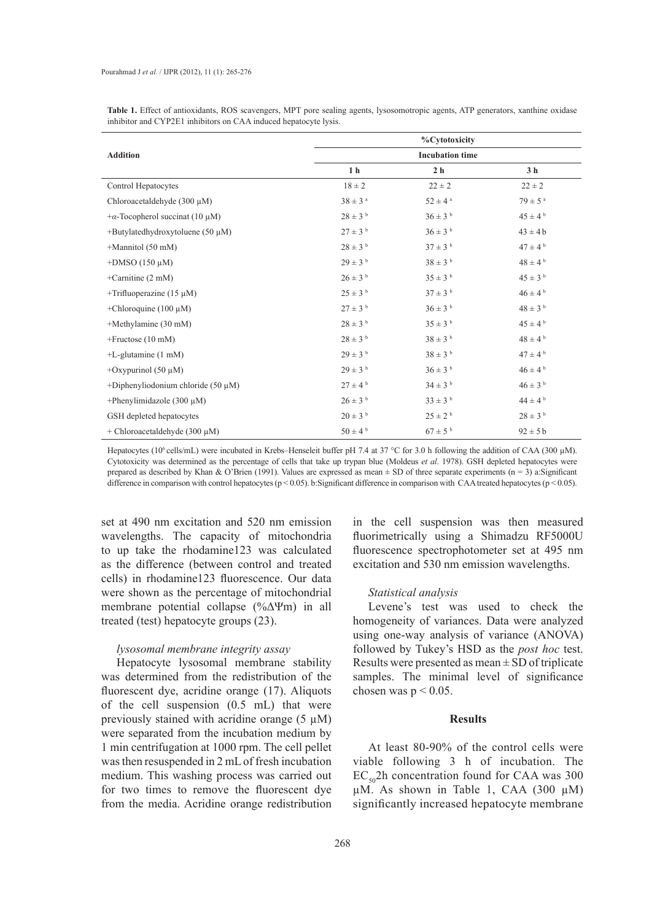| Table 1. Effect of antioxidants, ROS scavengers, MPT pore sealing agents, lysosomotropic agents, ATP generators, xanthine oxidase |  |  |
|-----------------------------------------------------------------------------------------------------------------------------------|--|--|
| inhibitor and CYP2E1 inhibitors on CAA induced hepatocyte lysis.                                                                  |  |  |

|                                         | %Cytotoxicity           |                         |                         |  |  |  |
|-----------------------------------------|-------------------------|-------------------------|-------------------------|--|--|--|
| <b>Addition</b>                         |                         | <b>Incubation time</b>  |                         |  |  |  |
|                                         | 1 <sub>h</sub>          | 2 <sub>h</sub>          | 3 <sub>h</sub>          |  |  |  |
| Control Hepatocytes                     | $18 \pm 2$              | $22 \pm 2$              | $22 \pm 2$              |  |  |  |
| Chloroacetaldehyde $(300 \mu M)$        | $38 \pm 3$ <sup>a</sup> | $52 \pm 4$ <sup>a</sup> | $79 \pm 5$ <sup>a</sup> |  |  |  |
| $+\alpha$ -Tocopherol succinat (10 µM)  | $28 \pm 3$ <sup>b</sup> | $36 \pm 3$ <sup>b</sup> | $45 \pm 4^{\text{ b}}$  |  |  |  |
| +Butylatedhydroxytoluene (50 $\mu$ M)   | $27 \pm 3$ <sup>b</sup> | $36\pm3$ $^{\rm b}$     | $43 \pm 4b$             |  |  |  |
| $+$ Mannitol (50 mM)                    | $28 \pm 3$ b            | $37 \pm 3$ <sup>b</sup> | $47 \pm 4$ b            |  |  |  |
| +DMSO (150 $\mu$ M)                     | $29 \pm 3$ b            | $38 \pm 3$ b            | $48 \pm 4$ b            |  |  |  |
| +Carnitine $(2 \text{ mM})$             | $26 \pm 3^{b}$          | $35 \pm 3^{b}$          | $45 \pm 3$ b            |  |  |  |
| +Trifluoperazine $(15 \mu M)$           | $25 \pm 3^{b}$          | $37 \pm 3^{b}$          | $46 \pm 4^{b}$          |  |  |  |
| +Chloroquine (100 $\mu$ M)              | $27 \pm 3$ <sup>b</sup> | $36 \pm 3$ <sup>b</sup> | $48 \pm 3$ b            |  |  |  |
| +Methylamine (30 mM)                    | $28 \pm 3$ <sup>b</sup> | $35 \pm 3^{b}$          | $45 \pm 4^{\text{ b}}$  |  |  |  |
| $+$ Fructose (10 mM)                    | $28 \pm 3$ b            | $38 \pm 3$ b            | $48 \pm 4^{b}$          |  |  |  |
| $+L$ -glutamine $(1 \text{ mM})$        | $29 \pm 3^{b}$          | $38 \pm 3$ b            | $47 \pm 4^{\text{b}}$   |  |  |  |
| +Oxypurinol $(50 \mu M)$                | $29 \pm 3^{b}$          | $36 \pm 3$ <sup>b</sup> | $46 \pm 4^{b}$          |  |  |  |
| +Diphenyliodonium chloride $(50 \mu M)$ | $27 \pm 4^{\text{ b}}$  | $34 \pm 3$ b            | $46 \pm 3$ b            |  |  |  |
| +Phenylimidazole (300 $\mu$ M)          | $26 \pm 3$ b            | $33 \pm 3^{b}$          | $44 \pm 4$ b            |  |  |  |
| GSH depleted hepatocytes                | $20 \pm 3$ <sup>b</sup> | $25 \pm 2^{b}$          | $28 \pm 3$ b            |  |  |  |
| + Chloroacetaldehyde (300 $\mu$ M)      | $50 \pm 4$ b            | $67 \pm 5^{b}$          | $92 \pm 5b$             |  |  |  |

Hepatocytes (10<sup>6</sup> cells/mL) were incubated in Krebs–Henseleit buffer pH 7.4 at 37 °C for 3.0 h following the addition of CAA (300 μM). Cytotoxicity was determined as the percentage of cells that take up trypan blue (Moldeus *et al*. 1978). GSH depleted hepatocytes were prepared as described by Khan & O'Brien (1991). Values are expressed as mean  $\pm$  SD of three separate experiments (n = 3) a:Significant difference in comparison with control hepatocytes (p < 0.05). b:Significant difference in comparison with CAA treated hepatocytes (p < 0.05).

set at 490 nm excitation and 520 nm emission wavelengths. The capacity of mitochondria to up take the rhodamine123 was calculated as the difference (between control and treated cells) in rhodamine123 fluorescence. Our data were shown as the percentage of mitochondrial membrane potential collapse (%ΔΨm) in all treated (test) hepatocyte groups (23).

### *lysosomal membrane integrity assay*

Hepatocyte lysosomal membrane stability was determined from the redistribution of the fluorescent dye, acridine orange (17). Aliquots of the cell suspension (0.5 mL) that were previously stained with acridine orange  $(5 \mu M)$ were separated from the incubation medium by 1 min centrifugation at 1000 rpm. The cell pellet was then resuspended in 2 mL of fresh incubation medium. This washing process was carried out for two times to remove the fluorescent dye from the media. Acridine orange redistribution

in the cell suspension was then measured fluorimetrically using a Shimadzu RF5000U fluorescence spectrophotometer set at 495 nm excitation and 530 nm emission wavelengths.

### *Statistical analysis*

Levene's test was used to check the homogeneity of variances. Data were analyzed using one-way analysis of variance (ANOVA) followed by Tukey's HSD as the *post hoc* test. Results were presented as mean  $\pm$  SD of triplicate samples. The minimal level of significance chosen was  $p < 0.05$ .

# **Results**

At least 80-90% of the control cells were viable following 3 h of incubation. The  $EC_{50}$ 2h concentration found for CAA was 300  $\mu$ M. As shown in Table 1, CAA (300  $\mu$ M) significantly increased hepatocyte membrane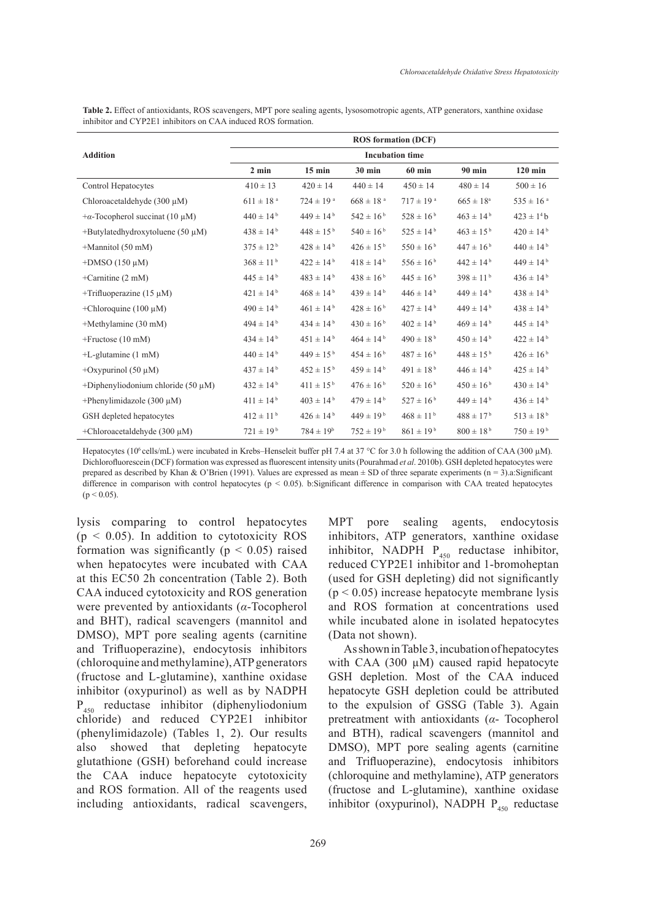|                                         |                           |                           |                           | <b>ROS</b> formation (DCF) |                      |                           |  |  |
|-----------------------------------------|---------------------------|---------------------------|---------------------------|----------------------------|----------------------|---------------------------|--|--|
| <b>Addition</b>                         | <b>Incubation time</b>    |                           |                           |                            |                      |                           |  |  |
|                                         | $2$ min                   | $15 \text{ min}$          | <b>30 min</b>             | <b>60 min</b>              | 90 min               | $120$ min                 |  |  |
| Control Hepatocytes                     | $410 \pm 13$              | $420 \pm 14$              | $440 \pm 14$              | $450 \pm 14$               | $480 \pm 14$         | $500 \pm 16$              |  |  |
| Chloroacetaldehyde $(300 \mu M)$        | $611 \pm 18$ <sup>a</sup> | $724 \pm 19$ <sup>a</sup> | $668 \pm 18$ <sup>a</sup> | $717 \pm 19$ <sup>a</sup>  | $665 \pm 18^{\circ}$ | $535 \pm 16$ <sup>a</sup> |  |  |
| $+\alpha$ -Tocopherol succinat (10 µM)  | $440 \pm 14^{b}$          | $449 \pm 14^{b}$          | $542 \pm 16^{b}$          | $528 \pm 16^{b}$           | $463 \pm 14^{b}$     | $423 \pm 14$ b            |  |  |
| +Butylatedhydroxytoluene (50 $\mu$ M)   | $438 \pm 14^{b}$          | $448 \pm 15^{b}$          | $540 \pm 16^{b}$          | $525 \pm 14^{b}$           | $463 \pm 15^{b}$     | $420 \pm 14^{b}$          |  |  |
| $+$ Mannitol (50 mM)                    | $375 \pm 12^{b}$          | $428 \pm 14^{b}$          | $426 \pm 15^{b}$          | $550 \pm 16^{b}$           | $447 \pm 16^{b}$     | $440 \pm 14^{b}$          |  |  |
| $+$ DMSO (150 $\mu$ M)                  | $368 \pm 11^{b}$          | $422 \pm 14^{\mathrm{b}}$ | $418 \pm 14^{b}$          | $556 \pm 16^{b}$           | $442 \pm 14^{b}$     | $449 \pm 14^{b}$          |  |  |
| +Carnitine $(2 \text{ mM})$             | $445 \pm 14^{b}$          | $483 \pm 14^{b}$          | $438 \pm 16^{b}$          | $445 \pm 16^{b}$           | $398 \pm 11^{b}$     | $436 \pm 14^{b}$          |  |  |
| +Trifluoperazine $(15 \mu M)$           | $421 \pm 14^{\rm b}$      | $468 \pm 14^{b}$          | $439 \pm 14^{b}$          | $446 \pm 14^{b}$           | $449 \pm 14^{b}$     | $438 \pm 14^{b}$          |  |  |
| +Chloroquine (100 $\mu$ M)              | $490 \pm 14^{b}$          | $461 \pm 14^{\rm b}$      | $428 \pm 16^{b}$          | $427 \pm 14^{b}$           | $449 \pm 14^{b}$     | $438 \pm 14^{b}$          |  |  |
| +Methylamine (30 mM)                    | $494 \pm 14^{b}$          | $434 \pm 14^{\mathrm{b}}$ | $430 \pm 16^{b}$          | $402 \pm 14^{\rm b}$       | $469 \pm 14^{b}$     | $445 \pm 14^{b}$          |  |  |
| $+$ Fructose (10 mM)                    | $434 \pm 14^{b}$          | $451 \pm 14^{b}$          | $464 \pm 14^{b}$          | $490 \pm 18^{b}$           | $450 \pm 14^{b}$     | $422 \pm 14^{b}$          |  |  |
| $+L$ -glutamine $(1 \text{ mM})$        | $440 \pm 14^{b}$          | $449 \pm 15^{b}$          | $454 \pm 16^{b}$          | $487 \pm 16^{b}$           | $448 \pm 15^{b}$     | $426 \pm 16^{b}$          |  |  |
| +Oxypurinol $(50 \mu M)$                | $437 \pm 14^{b}$          | $452 \pm 15^{b}$          | $459 \pm 14^{b}$          | $491 \pm 18^{b}$           | $446 \pm 14^{b}$     | $425 \pm 14^{b}$          |  |  |
| +Diphenyliodonium chloride (50 $\mu$ M) | $432 \pm 14^{b}$          | $411 \pm 15^{b}$          | $476 \pm 16^{b}$          | $520 \pm 16^{b}$           | $450 \pm 16^{b}$     | $430 \pm 14^{b}$          |  |  |
| +Phenylimidazole (300 $\mu$ M)          | $411 \pm 14^{b}$          | $403 \pm 14^{b}$          | $479 \pm 14^{b}$          | $527 \pm 16^{b}$           | $449 \pm 14^{b}$     | $436 \pm 14^{b}$          |  |  |
| GSH depleted hepatocytes                | $412 \pm 11^{b}$          | $426 \pm 14^{b}$          | $449 \pm 19^{b}$          | $468 \pm 11^{b}$           | $488 \pm 17^{b}$     | $513\pm18^{\,\mathrm{b}}$ |  |  |
| +Chloroacetaldehyde $(300 \mu M)$       | $721 \pm 19^{b}$          | $784 \pm 19^{b}$          | $752 \pm 19^{b}$          | $861 \pm 19^{b}$           | $800 \pm 18^{b}$     | $750 \pm 19^{b}$          |  |  |

**Table 2.** Effect of antioxidants, ROS scavengers, MPT pore sealing agents, lysosomotropic agents, ATP generators, xanthine oxidase inhibitor and CYP2E1 inhibitors on CAA induced ROS formation.

Hepatocytes (10<sup>6</sup> cells/mL) were incubated in Krebs–Henseleit buffer pH 7.4 at 37 °C for 3.0 h following the addition of CAA (300 µM). Dichlorofluorescein (DCF) formation was expressed as fluorescent intensity units (Pourahmad *et al*. 2010b). GSH depleted hepatocytes were prepared as described by Khan & O'Brien (1991). Values are expressed as mean  $\pm$  SD of three separate experiments (n = 3).a: Significant difference in comparison with control hepatocytes (p < 0.05). b:Significant difference in comparison with CAA treated hepatocytes  $(p < 0.05)$ .

lysis comparing to control hepatocytes  $(p < 0.05)$ . In addition to cytotoxicity ROS formation was significantly ( $p < 0.05$ ) raised when hepatocytes were incubated with CAA at this EC50 2h concentration (Table 2). Both CAA induced cytotoxicity and ROS generation were prevented by antioxidants (*α*-Tocopherol and BHT), radical scavengers (mannitol and DMSO), MPT pore sealing agents (carnitine and Trifluoperazine), endocytosis inhibitors (chloroquine and methylamine), ATP generators (fructose and L-glutamine), xanthine oxidase inhibitor (oxypurinol) as well as by NADPH P450 reductase inhibitor (diphenyliodonium chloride) and reduced CYP2E1 inhibitor (phenylimidazole) (Tables 1, 2). Our results also showed that depleting hepatocyte glutathione (GSH) beforehand could increase the CAA induce hepatocyte cytotoxicity and ROS formation. All of the reagents used including antioxidants, radical scavengers,

MPT pore sealing agents, endocytosis inhibitors, ATP generators, xanthine oxidase inhibitor, NADPH  $P_{450}$  reductase inhibitor, reduced CYP2E1 inhibitor and 1-bromoheptan (used for GSH depleting) did not significantly  $(p < 0.05)$  increase hepatocyte membrane lysis and ROS formation at concentrations used while incubated alone in isolated hepatocytes (Data not shown).

As shown in Table 3, incubation of hepatocytes with CAA (300 µM) caused rapid hepatocyte GSH depletion. Most of the CAA induced hepatocyte GSH depletion could be attributed to the expulsion of GSSG (Table 3). Again pretreatment with antioxidants (*α*- Tocopherol and BTH), radical scavengers (mannitol and DMSO), MPT pore sealing agents (carnitine and Trifluoperazine), endocytosis inhibitors (chloroquine and methylamine), ATP generators (fructose and L-glutamine), xanthine oxidase inhibitor (oxypurinol), NADPH  $P_{450}$  reductase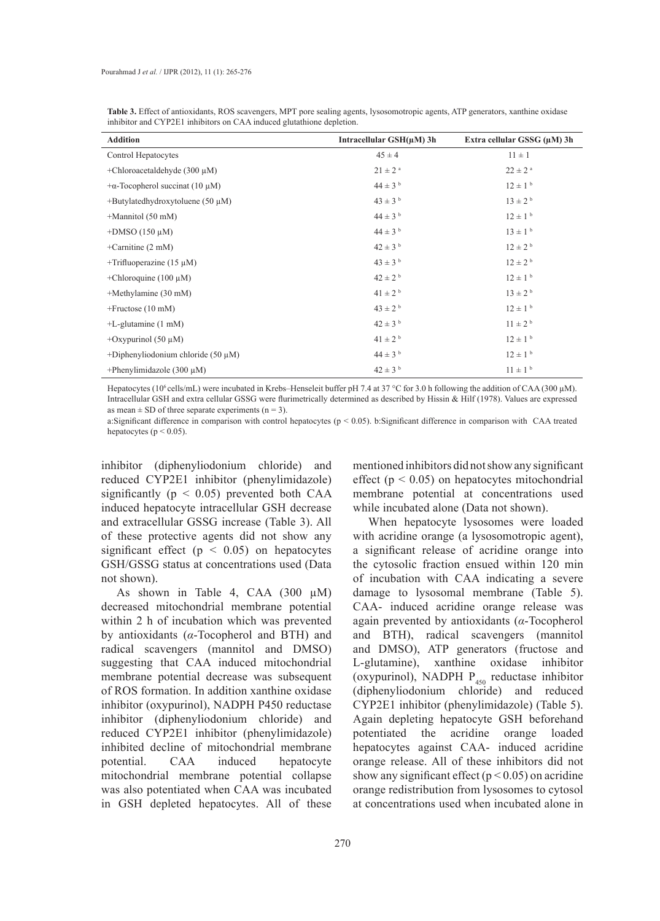**Table 3.** Effect of antioxidants, ROS scavengers, MPT pore sealing agents, lysosomotropic agents, ATP generators, xanthine oxidase inhibitor and CYP2E1 inhibitors on CAA induced glutathione depletion.

| <b>Addition</b>                         | Intracellular $GSH(\mu M)$ 3h | Extra cellular GSSG (µM) 3h |
|-----------------------------------------|-------------------------------|-----------------------------|
| Control Hepatocytes                     | $45 \pm 4$                    | $11 \pm 1$                  |
| +Chloroacetaldehyde $(300 \mu M)$       | $21 \pm 2$ <sup>a</sup>       | $22 \pm 2$ <sup>a</sup>     |
| $+\alpha$ -Tocopherol succinat (10 µM)  | $44 \pm 3$ <sup>b</sup>       | $12 \pm 1$ <sup>b</sup>     |
| $+$ Butylatedhydroxytoluene (50 µM)     | $43 \pm 3^{b}$                | $13 \pm 2^{b}$              |
| $+$ Mannitol (50 mM)                    | $44 \pm 3^{b}$                | $12 \pm 1^{b}$              |
| $+$ DMSO (150 $\mu$ M)                  | $44 \pm 3^{b}$                | $13 \pm 1^{b}$              |
| +Carnitine $(2 \text{ mM})$             | $42 \pm 3$ <sup>b</sup>       | $12 \pm 2^{b}$              |
| +Trifluoperazine $(15 \mu M)$           | $43 \pm 3$ <sup>b</sup>       | $12 \pm 2^{b}$              |
| +Chloroquine (100 $\mu$ M)              | $42 \pm 2^{b}$                | $12 \pm 1$ <sup>b</sup>     |
| +Methylamine (30 mM)                    | $41 \pm 2^{b}$                | $13 \pm 2^{b}$              |
| $+$ Fructose (10 mM)                    | $43 \pm 2^{b}$                | $12 \pm 1$ <sup>b</sup>     |
| $+L$ -glutamine $(1 \text{ mM})$        | $42 \pm 3$ <sup>b</sup>       | $11 \pm 2^{b}$              |
| +Oxypurinol (50 $\mu$ M)                | $41 \pm 2^{b}$                | $12 \pm 1$ <sup>b</sup>     |
| +Diphenyliodonium chloride (50 $\mu$ M) | $44 \pm 3$ b                  | $12 \pm 1$ <sup>b</sup>     |
| +Phenylimidazole $(300 \mu M)$          | $42 \pm 3$ <sup>b</sup>       | $11 \pm 1^{b}$              |

Hepatocytes (106 cells/mL) were incubated in Krebs–Henseleit buffer pH 7.4 at 37 °C for 3.0 h following the addition of CAA (300 µM). Intracellular GSH and extra cellular GSSG were flurimetrically determined as described by Hissin & Hilf (1978). Values are expressed as mean  $\pm$  SD of three separate experiments (n = 3).

a:Significant difference in comparison with control hepatocytes (p < 0.05). b:Significant difference in comparison with CAA treated hepatocytes ( $p < 0.05$ ).

inhibitor (diphenyliodonium chloride) and reduced CYP2E1 inhibitor (phenylimidazole) significantly ( $p < 0.05$ ) prevented both CAA induced hepatocyte intracellular GSH decrease and extracellular GSSG increase (Table 3). All of these protective agents did not show any significant effect ( $p < 0.05$ ) on hepatocytes GSH/GSSG status at concentrations used (Data not shown).

As shown in Table 4, CAA  $(300 \mu M)$ decreased mitochondrial membrane potential within 2 h of incubation which was prevented by antioxidants (*α*-Tocopherol and BTH) and radical scavengers (mannitol and DMSO) suggesting that CAA induced mitochondrial membrane potential decrease was subsequent of ROS formation. In addition xanthine oxidase inhibitor (oxypurinol), NADPH P450 reductase inhibitor (diphenyliodonium chloride) and reduced CYP2E1 inhibitor (phenylimidazole) inhibited decline of mitochondrial membrane potential. CAA induced hepatocyte mitochondrial membrane potential collapse was also potentiated when CAA was incubated in GSH depleted hepatocytes. All of these

mentioned inhibitors did not show any significant effect ( $p < 0.05$ ) on hepatocytes mitochondrial membrane potential at concentrations used while incubated alone (Data not shown).

When hepatocyte lysosomes were loaded with acridine orange (a lysosomotropic agent), a significant release of acridine orange into the cytosolic fraction ensued within 120 min of incubation with CAA indicating a severe damage to lysosomal membrane (Table 5). CAA- induced acridine orange release was again prevented by antioxidants (*α*-Tocopherol and BTH), radical scavengers (mannitol and DMSO), ATP generators (fructose and L-glutamine), xanthine oxidase inhibitor (oxypurinol), NADPH  $P_{450}$  reductase inhibitor (diphenyliodonium chloride) and reduced CYP2E1 inhibitor (phenylimidazole) (Table 5). Again depleting hepatocyte GSH beforehand potentiated the acridine orange loaded hepatocytes against CAA- induced acridine orange release. All of these inhibitors did not show any significant effect ( $p < 0.05$ ) on acridine orange redistribution from lysosomes to cytosol at concentrations used when incubated alone in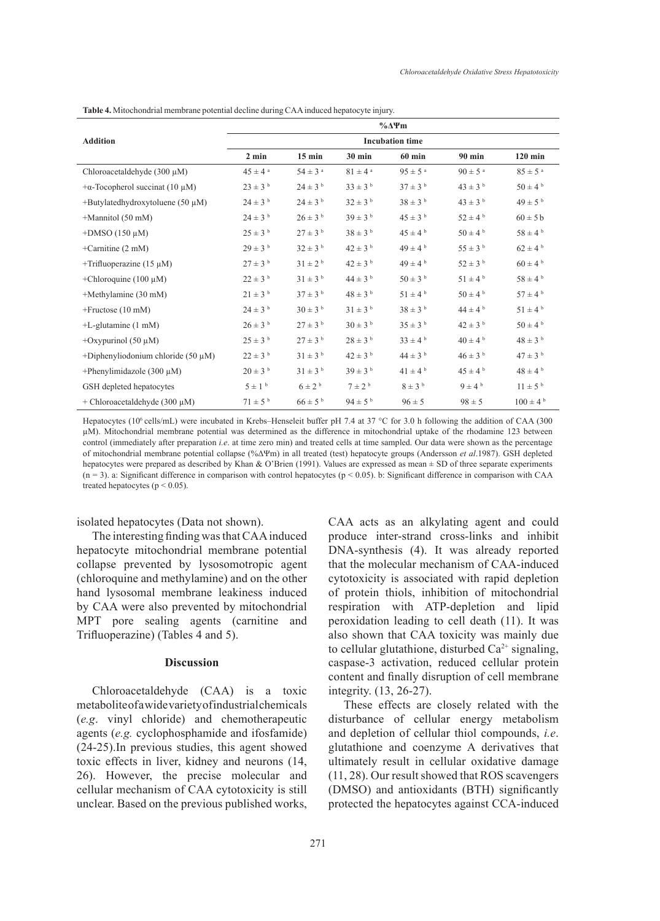|                                         |                         |                         |                         | $\%$ $\Delta$ $\Psi$ m  |                         |                          |
|-----------------------------------------|-------------------------|-------------------------|-------------------------|-------------------------|-------------------------|--------------------------|
| <b>Addition</b>                         |                         |                         |                         | <b>Incubation time</b>  |                         |                          |
|                                         | $2 \text{ min}$         | $15 \text{ min}$        | 30 min                  | $60$ min                | 90 min                  | $120$ min                |
| Chloroacetaldehyde $(300 \mu M)$        | $45 \pm 4^{\circ}$      | $54 \pm 3$ <sup>a</sup> | $81 \pm 4$ <sup>a</sup> | $95 \pm 5^{\text{ a}}$  | $90 \pm 5$ <sup>a</sup> | $85 \pm 5$ <sup>a</sup>  |
| $+\alpha$ -Tocopherol succinat (10 µM)  | $23 \pm 3$ b            | $24 \pm 3$ <sup>b</sup> | $33 \pm 3^{b}$          | $37 \pm 3$ <sup>b</sup> | $43 \pm 3$ b            | $50 \pm 4^{\rm b}$       |
| +Butylatedhydroxytoluene (50 $\mu$ M)   | $24 \pm 3$ b            | $24 \pm 3$ b            | $32 \pm 3$ <sup>b</sup> | $38 \pm 3$ b            | $43 \pm 3$ b            | $49 \pm 5^{b}$           |
| $+$ Mannitol (50 mM)                    | $24 \pm 3^{b}$          | $26 \pm 3^{b}$          | $39 \pm 3^{b}$          | $45 \pm 3^{b}$          | $52 \pm 4^{\text{b}}$   | $60 \pm 5$ b             |
| $+$ DMSO (150 $\mu$ M)                  | $25 \pm 3^{b}$          | $27 \pm 3$ <sup>b</sup> | $38 \pm 3$ b            | $45 \pm 4^{\text{ b}}$  | $50 \pm 4^{\rm b}$      | $58 \pm 4^{\text{ b}}$   |
| +Carnitine $(2 \text{ mM})$             | $29 \pm 3^{b}$          | $32 \pm 3$ <sup>b</sup> | $42 \pm 3$ b            | $49 \pm 4^{\text{ b}}$  | $55 \pm 3^{b}$          | $62 \pm 4^{\mathrm{b}}$  |
| +Trifluoperazine $(15 \mu M)$           | $27 \pm 3$ <sup>b</sup> | $31 \pm 2^{b}$          | $42 \pm 3$ b            | $49 \pm 4^{\text{ b}}$  | $52 \pm 3$ b            | $60 \pm 4$ b             |
| +Chloroquine (100 $\mu$ M)              | $22 \pm 3$ b            | $31 \pm 3^{b}$          | $44 \pm 3$ b            | $50 \pm 3$ b            | $51 \pm 4^{\text{ b}}$  | $58 \pm 4$ b             |
| +Methylamine (30 mM)                    | $21 \pm 3^{b}$          | $37 \pm 3^{b}$          | $48 \pm 3^{b}$          | $51 \pm 4^{\circ}$      | $50 \pm 4^{\text{b}}$   | $57 \pm 4^{\mathrm{b}}$  |
| $+$ Fructose (10 mM)                    | $24 \pm 3$ b            | $30 \pm 3$ <sup>b</sup> | $31 \pm 3^{b}$          | $38 \pm 3$ b            | $44 \pm 4^{\circ}$      | $51 \pm 4^{\rm b}$       |
| $+L$ -glutamine $(1 \text{ mM})$        | $26 \pm 3^{b}$          | $27 \pm 3$ <sup>b</sup> | $30 \pm 3$ b            | $35 \pm 3$ b            | $42 \pm 3$ <sup>b</sup> | $50 \pm 4^{\text{ b}}$   |
| +Oxypurinol $(50 \mu M)$                | $25 \pm 3^{b}$          | $27 \pm 3$ <sup>b</sup> | $28 \pm 3^{b}$          | $33 \pm 4^{\circ}$      | $40 \pm 4^{\circ}$      | $48 \pm 3$ b             |
| +Diphenyliodonium chloride (50 $\mu$ M) | $22 \pm 3$ b            | $31 \pm 3^{b}$          | $42 \pm 3$ b            | $44 \pm 3$ b            | $46 \pm 3^{b}$          | $47 \pm 3$ b             |
| +Phenylimidazole (300 $\mu$ M)          | $20 \pm 3^{b}$          | $31 \pm 3^{b}$          | $39 \pm 3^{b}$          | $41 \pm 4^b$            | $45 \pm 4^{\text{b}}$   | $48 \pm 4^{\circ}$       |
| GSH depleted hepatocytes                | $5 \pm 1$ b             | $6 \pm 2$ b             | $7 \pm 2$ <sup>b</sup>  | $8 \pm 3$ b             | $9 \pm 4^{\mathrm{b}}$  | $11 \pm 5^{\rm b}$       |
| + Chloroacetaldehyde (300 $\mu$ M)      | $71 \pm 5^{b}$          | $66 \pm 5^{b}$          | $94 \pm 5^{b}$          | $96 \pm 5$              | $98 \pm 5$              | $100 \pm 4^{\mathrm{b}}$ |

**Table 4.** Mitochondrial membrane potential decline during CAA induced hepatocyte injury.

Hepatocytes (10<sup>6</sup> cells/mL) were incubated in Krebs–Henseleit buffer pH 7.4 at 37 °C for 3.0 h following the addition of CAA (300 µM). Mitochondrial membrane potential was determined as the difference in mitochondrial uptake of the rhodamine 123 between control (immediately after preparation *i.e*. at time zero min) and treated cells at time sampled. Our data were shown as the percentage of mitochondrial membrane potential collapse (%ΔΨm) in all treated (test) hepatocyte groups (Andersson *et al*.1987). GSH depleted hepatocytes were prepared as described by Khan & O'Brien (1991). Values are expressed as mean  $\pm$  SD of three separate experiments  $(n = 3)$ . a: Significant difference in comparison with control hepatocytes  $(p < 0.05)$ . b: Significant difference in comparison with CAA treated hepatocytes ( $p < 0.05$ ).

isolated hepatocytes (Data not shown).

The interesting finding was that CAA induced hepatocyte mitochondrial membrane potential collapse prevented by lysosomotropic agent (chloroquine and methylamine) and on the other hand lysosomal membrane leakiness induced by CAA were also prevented by mitochondrial MPT pore sealing agents (carnitine and Trifluoperazine) (Tables 4 and 5).

### **Discussion**

Chloroacetaldehyde (CAA) is a toxic metabolite of a wide variety of industrial chemicals (*e.g*. vinyl chloride) and chemotherapeutic agents (*e.g.* cyclophosphamide and ifosfamide) (24-25).In previous studies, this agent showed toxic effects in liver, kidney and neurons (14, 26). However, the precise molecular and cellular mechanism of CAA cytotoxicity is still unclear. Based on the previous published works,

271

CAA acts as an alkylating agent and could produce inter-strand cross-links and inhibit DNA-synthesis (4). It was already reported that the molecular mechanism of CAA-induced cytotoxicity is associated with rapid depletion of protein thiols, inhibition of mitochondrial respiration with ATP-depletion and lipid peroxidation leading to cell death (11). It was also shown that CAA toxicity was mainly due to cellular glutathione, disturbed  $Ca^{2+}$  signaling, caspase-3 activation, reduced cellular protein content and finally disruption of cell membrane integrity. (13, 26-27).

These effects are closely related with the disturbance of cellular energy metabolism and depletion of cellular thiol compounds, *i.e*. glutathione and coenzyme A derivatives that ultimately result in cellular oxidative damage (11, 28). Our result showed that ROS scavengers (DMSO) and antioxidants (BTH) significantly protected the hepatocytes against CCA-induced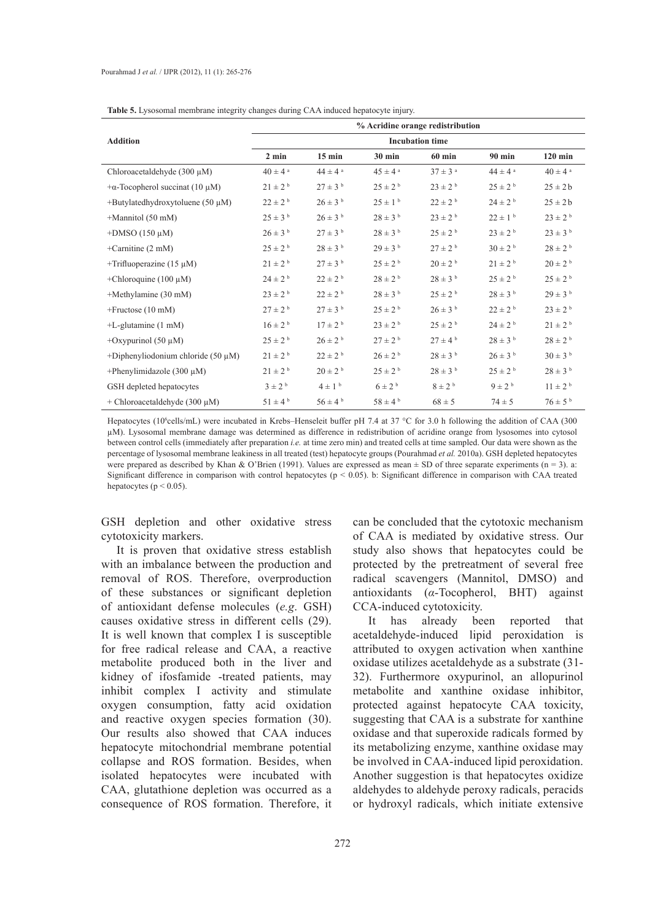|                                         | <b>Tuble</b> of Eyoobolital momentum integrity enumges authing of a triangulate inspired for milary.<br>% Acridine orange redistribution |                         |                         |                         |                         |                         |  |  |
|-----------------------------------------|------------------------------------------------------------------------------------------------------------------------------------------|-------------------------|-------------------------|-------------------------|-------------------------|-------------------------|--|--|
| <b>Addition</b>                         | <b>Incubation time</b>                                                                                                                   |                         |                         |                         |                         |                         |  |  |
|                                         | $2 \text{ min}$                                                                                                                          | $15 \text{ min}$        | $30 \text{ min}$        | $60$ min                | $90$ min                | $120$ min               |  |  |
| Chloroacetaldehyde $(300 \mu M)$        | $40 \pm 4$ <sup>a</sup>                                                                                                                  | $44 \pm 4$ <sup>a</sup> | $45 \pm 4$ <sup>a</sup> | $37 \pm 3$ <sup>a</sup> | $44 \pm 4$ <sup>a</sup> | $40 \pm 4$ <sup>a</sup> |  |  |
| $+\alpha$ -Tocopherol succinat (10 µM)  | $21 \pm 2^{b}$                                                                                                                           | $27 \pm 3^{b}$          | $25 \pm 2^{b}$          | $23 \pm 2^{b}$          | $25 \pm 2^{b}$          | $25 \pm 2b$             |  |  |
| +Butylatedhydroxytoluene (50 $\mu$ M)   | $22 \pm 2^{\rm b}$                                                                                                                       | $26 \pm 3^{b}$          | $25 \pm 1$ <sup>b</sup> | $22 \pm 2^{b}$          | $24 \pm 2^{b}$          | $25 \pm 2b$             |  |  |
| $+$ Mannitol (50 mM)                    | $25 \pm 3^{b}$                                                                                                                           | $26 \pm 3^{b}$          | $28 \pm 3^{b}$          | $23 \pm 2^{b}$          | $22 \pm 1$ <sup>b</sup> | $23 \pm 2^{b}$          |  |  |
| $+$ DMSO (150 $\mu$ M)                  | $26 \pm 3^{b}$                                                                                                                           | $27 \pm 3$ <sup>b</sup> | $28 \pm 3$ b            | $25 \pm 2^{b}$          | $23 \pm 2^{b}$          | $23 \pm 3$ b            |  |  |
| +Carnitine $(2 \text{ mM})$             | $25 \pm 2^{b}$                                                                                                                           | $28 \pm 3$ b            | $29 \pm 3^{b}$          | $27 \pm 2^{b}$          | $30 \pm 2$ b            | $28 \pm 2$ b            |  |  |
| +Trifluoperazine $(15 \mu M)$           | $21 \pm 2^{b}$                                                                                                                           | $27 \pm 3$ <sup>b</sup> | $25 \pm 2^{b}$          | $20 \pm 2$ <sup>b</sup> | $21 \pm 2^{b}$          | $20 \pm 2$ b            |  |  |
| +Chloroquine (100 $\mu$ M)              | $24 \pm 2^{b}$                                                                                                                           | $22 \pm 2^{b}$          | $28\pm2$ $^{\rm b}$     | $28 \pm 3$ b            | $25 \pm 2^{b}$          | $25 \pm 2$ b            |  |  |
| +Methylamine (30 mM)                    | $23 \pm 2^{b}$                                                                                                                           | $22 \pm 2^{b}$          | $28 \pm 3$ b            | $25 \pm 2^{b}$          | $28 \pm 3^{b}$          | $29 \pm 3$ b            |  |  |
| $+$ Fructose (10 mM)                    | $27 \pm 2^{b}$                                                                                                                           | $27 \pm 3$ <sup>b</sup> | $25 \pm 2^{b}$          | $26 \pm 3^{b}$          | $22 \pm 2^{\rm b}$      | $23 \pm 2^{b}$          |  |  |
| $+L$ -glutamine $(1 \text{ mM})$        | $16 \pm 2$ <sup>b</sup>                                                                                                                  | $17 \pm 2^{b}$          | $23 \pm 2^{b}$          | $25 \pm 2^{b}$          | $24 \pm 2^{b}$          | $21 \pm 2^{b}$          |  |  |
| +Oxypurinol (50 $\mu$ M)                | $25 \pm 2^{b}$                                                                                                                           | $26 \pm 2^{b}$          | $27 \pm 2^{b}$          | $27 \pm 4^{\mathrm{b}}$ | $28 \pm 3^{b}$          | $28 \pm 2^{b}$          |  |  |
| +Diphenyliodonium chloride (50 $\mu$ M) | $21 \pm 2^{b}$                                                                                                                           | $22 \pm 2^{b}$          | $26 \pm 2^{b}$          | $28 \pm 3^{b}$          | $26 \pm 3^{b}$          | $30 \pm 3$ b            |  |  |
| +Phenylimidazole (300 $\mu$ M)          | $21 \pm 2^{b}$                                                                                                                           | $20 \pm 2^{b}$          | $25 \pm 2^{b}$          | $28 \pm 3^{b}$          | $25 \pm 2^{b}$          | $28 \pm 3^{b}$          |  |  |
| GSH depleted hepatocytes                | $3 \pm 2$ <sup>b</sup>                                                                                                                   | $4 \pm 1$ <sup>b</sup>  | $6 \pm 2^{b}$           | $8 \pm 2^{b}$           | $9 \pm 2^{b}$           | $11 \pm 2^{b}$          |  |  |
| + Chloroacetaldehyde (300 $\mu$ M)      | $51 \pm 4^{\rm b}$                                                                                                                       | $56 \pm 4^{b}$          | $58 \pm 4^{\circ}$      | $68 \pm 5$              | $74 \pm 5$              | $76 \pm 5$ <sup>b</sup> |  |  |

**Table 5.** Lysosomal membrane integrity changes during CAA induced hepatocyte injury.

Hepatocytes (10<sup>6</sup>cells/mL) were incubated in Krebs–Henseleit buffer pH 7.4 at 37 °C for 3.0 h following the addition of CAA (300 µM). Lysosomal membrane damage was determined as difference in redistribution of acridine orange from lysosomes into cytosol between control cells (immediately after preparation *i.e.* at time zero min) and treated cells at time sampled. Our data were shown as the percentage of lysosomal membrane leakiness in all treated (test) hepatocyte groups (Pourahmad *et al.* 2010a). GSH depleted hepatocytes were prepared as described by Khan & O'Brien (1991). Values are expressed as mean  $\pm$  SD of three separate experiments (n = 3). a: Significant difference in comparison with control hepatocytes (p < 0.05). b: Significant difference in comparison with CAA treated hepatocytes ( $p < 0.05$ ).

GSH depletion and other oxidative stress cytotoxicity markers.

It is proven that oxidative stress establish with an imbalance between the production and removal of ROS. Therefore, overproduction of these substances or significant depletion of antioxidant defense molecules (*e.g*. GSH) causes oxidative stress in different cells (29). It is well known that complex I is susceptible for free radical release and CAA, a reactive metabolite produced both in the liver and kidney of ifosfamide -treated patients, may inhibit complex I activity and stimulate oxygen consumption, fatty acid oxidation and reactive oxygen species formation (30). Our results also showed that CAA induces hepatocyte mitochondrial membrane potential collapse and ROS formation. Besides, when isolated hepatocytes were incubated with CAA, glutathione depletion was occurred as a consequence of ROS formation. Therefore, it can be concluded that the cytotoxic mechanism of CAA is mediated by oxidative stress. Our study also shows that hepatocytes could be protected by the pretreatment of several free radical scavengers (Mannitol, DMSO) and antioxidants (*α*-Tocopherol, BHT) against CCA-induced cytotoxicity.

It has already been reported that acetaldehyde-induced lipid peroxidation is attributed to oxygen activation when xanthine oxidase utilizes acetaldehyde as a substrate (31- 32). Furthermore oxypurinol, an allopurinol metabolite and xanthine oxidase inhibitor, protected against hepatocyte CAA toxicity, suggesting that CAA is a substrate for xanthine oxidase and that superoxide radicals formed by its metabolizing enzyme, xanthine oxidase may be involved in CAA-induced lipid peroxidation. Another suggestion is that hepatocytes oxidize aldehydes to aldehyde peroxy radicals, peracids or hydroxyl radicals, which initiate extensive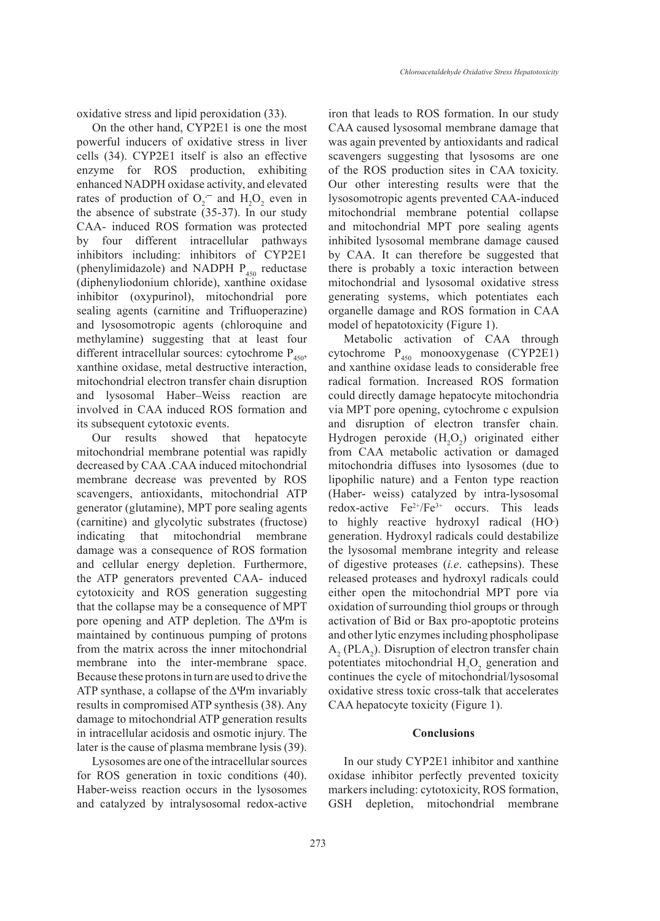oxidative stress and lipid peroxidation (33).

On the other hand, CYP2E1 is one the most powerful inducers of oxidative stress in liver cells (34). CYP2E1 itself is also an effective enzyme for ROS production, exhibiting enhanced NADPH oxidase activity, and elevated rates of production of  $O_2$ <sup>-</sup> and  $H_2O_2$  even in the absence of substrate (35-37). In our study CAA- induced ROS formation was protected by four different intracellular pathways inhibitors including: inhibitors of CYP2E1 (phenylimidazole) and NADPH  $P_{450}$  reductase (diphenyliodonium chloride), xanthine oxidase inhibitor (oxypurinol), mitochondrial pore sealing agents (carnitine and Trifluoperazine) and lysosomotropic agents (chloroquine and methylamine) suggesting that at least four different intracellular sources: cytochrome  $P_{450}$ , xanthine oxidase, metal destructive interaction, mitochondrial electron transfer chain disruption and lysosomal Haber–Weiss reaction are involved in CAA induced ROS formation and its subsequent cytotoxic events.

Our results showed that hepatocyte mitochondrial membrane potential was rapidly decreased by CAA .CAA induced mitochondrial membrane decrease was prevented by ROS scavengers, antioxidants, mitochondrial ATP generator (glutamine), MPT pore sealing agents (carnitine) and glycolytic substrates (fructose) indicating that mitochondrial membrane damage was a consequence of ROS formation and cellular energy depletion. Furthermore, the ATP generators prevented CAA- induced cytotoxicity and ROS generation suggesting that the collapse may be a consequence of MPT pore opening and ATP depletion. The ΔΨm is maintained by continuous pumping of protons from the matrix across the inner mitochondrial membrane into the inter-membrane space. Because these protons in turn are used to drive the ATP synthase, a collapse of the ΔΨm invariably results in compromised ATP synthesis (38). Any damage to mitochondrial ATP generation results in intracellular acidosis and osmotic injury. The later is the cause of plasma membrane lysis (39).

Lysosomes are one of the intracellular sources for ROS generation in toxic conditions (40). Haber-weiss reaction occurs in the lysosomes and catalyzed by intralysosomal redox-active iron that leads to ROS formation. In our study CAA caused lysosomal membrane damage that was again prevented by antioxidants and radical scavengers suggesting that lysosoms are one of the ROS production sites in CAA toxicity. Our other interesting results were that the lysosomotropic agents prevented CAA-induced mitochondrial membrane potential collapse and mitochondrial MPT pore sealing agents inhibited lysosomal membrane damage caused by CAA. It can therefore be suggested that there is probably a toxic interaction between mitochondrial and lysosomal oxidative stress generating systems, which potentiates each organelle damage and ROS formation in CAA model of hepatotoxicity (Figure 1).

Metabolic activation of CAA through cytochrome  $P_{450}$  monooxygenase (CYP2E1) and xanthine oxidase leads to considerable free radical formation. Increased ROS formation could directly damage hepatocyte mitochondria via MPT pore opening, cytochrome c expulsion and disruption of electron transfer chain. Hydrogen peroxide  $(H_2O_2)$  originated either from CAA metabolic activation or damaged mitochondria diffuses into lysosomes (due to lipophilic nature) and a Fenton type reaction (Haber- weiss) catalyzed by intra-lysosomal redox-active  $Fe^{2+}/Fe^{3+}$  occurs. This leads to highly reactive hydroxyl radical (HO**.** ) generation. Hydroxyl radicals could destabilize the lysosomal membrane integrity and release of digestive proteases (*i.e*. cathepsins). These released proteases and hydroxyl radicals could either open the mitochondrial MPT pore via oxidation of surrounding thiol groups or through activation of Bid or Bax pro-apoptotic proteins and other lytic enzymes including phospholipase  $A_2$  (PLA<sub>2</sub>). Disruption of electron transfer chain potentiates mitochondrial  $H_2O_2$  generation and continues the cycle of mitochondrial/lysosomal oxidative stress toxic cross-talk that accelerates CAA hepatocyte toxicity (Figure 1).

### **Conclusions**

In our study CYP2E1 inhibitor and xanthine oxidase inhibitor perfectly prevented toxicity markers including: cytotoxicity, ROS formation, GSH depletion, mitochondrial membrane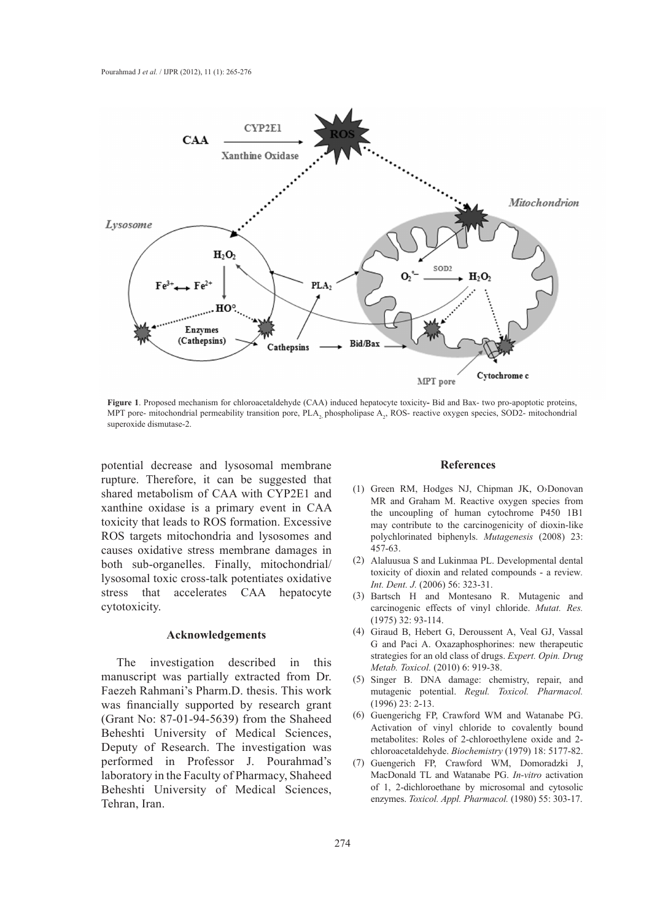

**Figure 1**. Proposed mechanism for chloroacetaldehyde (CAA) induced hepatocyte toxicity**-** Bid and Bax- two pro-apoptotic proteins, MPT pore- mitochondrial permeability transition pore,  $PLA_2$  phospholipase  $A_2$ , ROS- reactive oxygen species, SOD2- mitochondrial superoxide dismutase-2.

potential decrease and lysosomal membrane rupture. Therefore, it can be suggested that shared metabolism of CAA with CYP2E1 and xanthine oxidase is a primary event in CAA toxicity that leads to ROS formation. Excessive ROS targets mitochondria and lysosomes and causes oxidative stress membrane damages in both sub-organelles. Finally, mitochondrial/ lysosomal toxic cross-talk potentiates oxidative stress that accelerates CAA hepatocyte cytotoxicity.

### **Acknowledgements**

The investigation described in this manuscript was partially extracted from Dr. Faezeh Rahmani's Pharm.D. thesis. This work was financially supported by research grant (Grant No: 87-01-94-5639) from the Shaheed Beheshti University of Medical Sciences, Deputy of Research. The investigation was performed in Professor J. Pourahmad's laboratory in the Faculty of Pharmacy, Shaheed Beheshti University of Medical Sciences, Tehran, Iran.

#### **References**

- (1) Green RM, Hodges NJ, Chipman JK, O>Donovan MR and Graham M. Reactive oxygen species from the uncoupling of human cytochrome P450 1B1 may contribute to the carcinogenicity of dioxin-like polychlorinated biphenyls. *Mutagenesis* (2008) 23: 457-63.
- Alaluusua S and Lukinmaa PL. Developmental dental (2) toxicity of dioxin and related compounds - a review*. Int. Dent. J.* (2006) 56: 323-31.
- (3) Bartsch H and Montesano R. Mutagenic and carcinogenic effects of vinyl chloride. *Mutat. Res.* (1975) 32: 93-114.
- Giraud B, Hebert G, Deroussent A, Veal GJ, Vassal (4) G and Paci A. Oxazaphosphorines: new therapeutic strategies for an old class of drugs. *Expert. Opin. Drug Metab. Toxicol.* (2010) 6: 919-38.
- (5) Singer B. DNA damage: chemistry, repair, and mutagenic potential. *Regul. Toxicol. Pharmacol.*  (1996) 23: 2-13.
- Guengerichg FP, Crawford WM and Watanabe PG. (6) Activation of vinyl chloride to covalently bound metabolites: Roles of 2-chloroethylene oxide and 2 chloroacetaldehyde. *Biochemistry* (1979) 18: 5177-82.
- Guengerich FP, Crawford WM, Domoradzki J, (7)MacDonald TL and Watanabe PG. *In-vitro* activation of 1, 2-dichloroethane by microsomal and cytosolic enzymes. *Toxicol. Appl. Pharmacol.* (1980) 55: 303-17.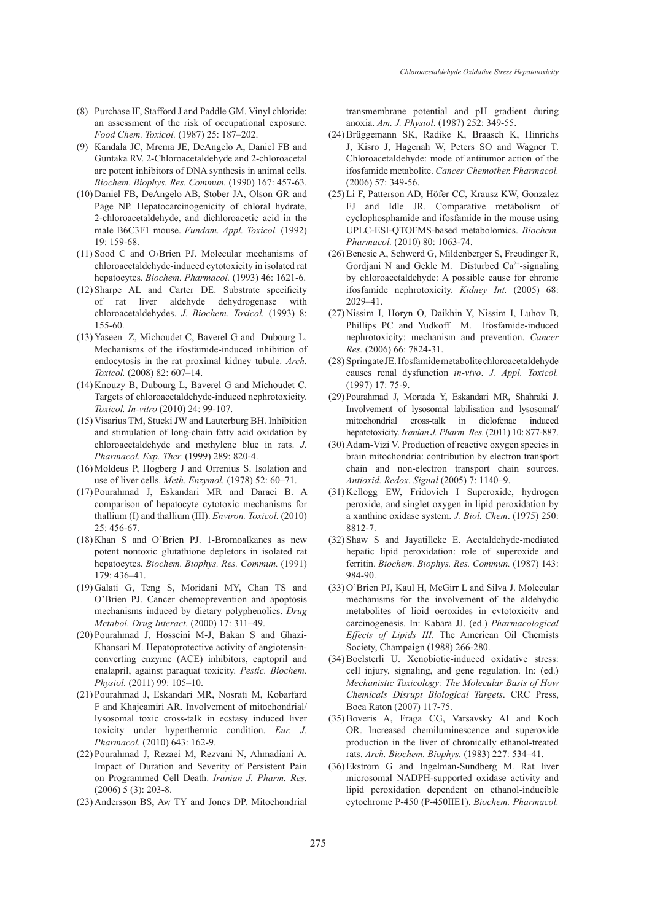- Purchase IF, Stafford J and Paddle GM. Vinyl chloride: (8) an assessment of the risk of occupational exposure. *Food Chem. Toxicol.* (1987) 25: 187–202.
- (9) Kandala JC, Mrema JE, DeAngelo A, Daniel FB and Guntaka RV. 2-Chloroacetaldehyde and 2-chloroacetal are potent inhibitors of DNA synthesis in animal cells. *Biochem. Biophys. Res. Commun.* (1990) 167: 457-63.
- (10) Daniel FB, DeAngelo AB, Stober JA, Olson GR and Page NP. Hepatocarcinogenicity of chloral hydrate, 2-chloroacetaldehyde, and dichloroacetic acid in the male B6C3F1 mouse. *Fundam. Appl. Toxicol.* (1992) 19: 159-68.
- $(11)$  Sood C and O>Brien PJ. Molecular mechanisms of chloroacetaldehyde-induced cytotoxicity in isolated rat hepatocytes. *Biochem. Pharmacol.* (1993) 46: 1621-6.
- Sharpe AL and Carter DE. Substrate specificity (12) of rat liver aldehyde dehydrogenase with chloroacetaldehydes. *J. Biochem. Toxicol.* (1993) 8: 155-60.
- $(13)$  Yaseen Z, Michoudet C, Baverel G and Dubourg L. Mechanisms of the ifosfamide-induced inhibition of endocytosis in the rat proximal kidney tubule. *Arch. Toxicol.* (2008) 82: 607–14.
- $(14)$  Knouzy B, Dubourg L, Baverel G and Michoudet C. Targets of chloroacetaldehyde-induced nephrotoxicity. *Toxicol. In-vitro* (2010) 24: 99-107.
- (15) Visarius TM, Stucki JW and Lauterburg BH. Inhibition and stimulation of long-chain fatty acid oxidation by chloroacetaldehyde and methylene blue in rats. *J. Pharmacol. Exp. Ther.* (1999) 289: 820-4.
- $(16)$  Moldeus P, Hogberg J and Orrenius S. Isolation and use of liver cells. *Meth. Enzymol.* (1978) 52: 60–71.
- (17) Pourahmad J, Eskandari MR and Daraei B. A comparison of hepatocyte cytotoxic mechanisms for thallium (I) and thallium (III). *Environ. Toxicol.* (2010) 25: 456-67.
- $(18)$  Khan S and O'Brien PJ. 1-Bromoalkanes as new potent nontoxic glutathione depletors in isolated rat hepatocytes. *Biochem. Biophys. Res. Commun.* (1991) 179: 436–41.
- (19) Galati G, Teng S, Moridani MY, Chan TS and O'Brien PJ. Cancer chemoprevention and apoptosis mechanisms induced by dietary polyphenolics. *Drug Metabol. Drug Interact.* (2000) 17: 311–49.
- (20) Pourahmad J, Hosseini M-J, Bakan S and Ghazi-Khansari M. Hepatoprotective activity of angiotensinconverting enzyme (ACE) inhibitors, captopril and enalapril, against paraquat toxicity. *Pestic. Biochem. Physiol.* (2011) 99: 105–10.
- (21) Pourahmad J, Eskandari MR, Nosrati M, Kobarfard F and Khajeamiri AR. Involvement of mitochondrial/ lysosomal toxic cross-talk in ecstasy induced liver toxicity under hyperthermic condition. *Eur. J. Pharmacol.* (2010) 643: 162-9.
- (22) Pourahmad J, Rezaei M, Rezvani N, Ahmadiani A. Impact of Duration and Severity of Persistent Pain on Programmed Cell Death. *Iranian J. Pharm. Res.* (2006) 5 (3): 203-8.
- (23) Andersson BS, Aw TY and Jones DP. Mitochondrial

transmembrane potential and pH gradient during anoxia. *Am. J. Physiol*. (1987) 252: 349-55.

- Brüggemann SK, Radike K, Braasch K, Hinrichs (24) J, Kisro J, Hagenah W, Peters SO and Wagner T. Chloroacetaldehyde: mode of antitumor action of the ifosfamide metabolite. *Cancer Chemother. Pharmacol.* (2006) 57: 349-56.
- (25) Li F, Patterson AD, Höfer CC, Krausz KW, Gonzalez FJ and Idle JR. Comparative metabolism of cyclophosphamide and ifosfamide in the mouse using UPLC-ESI-QTOFMS-based metabolomics. *Biochem. Pharmacol.* (2010) 80: 1063-74.
- (26) Benesic A, Schwerd G, Mildenberger S, Freudinger R, Gordjani N and Gekle M. Disturbed  $Ca^{2+}$ -signaling by chloroacetaldehyde: A possible cause for chronic ifosfamide nephrotoxicity. *Kidney Int.* (2005) 68: 2029–41.
- (27) Nissim I, Horyn O, Daikhin Y, Nissim I, Luhov B, Phillips PC and Yudkoff M. Ifosfamide-induced nephrotoxicity: mechanism and prevention. *Cancer Res.* (2006) 66: 7824-31.
- Springate JE. Ifosfamide metabolite chloroacetaldehyde (28) causes renal dysfunction *in-vivo*. *J. Appl. Toxicol.* (1997) 17: 75-9.
- (29) Pourahmad J, Mortada Y, Eskandari MR, Shahraki J. Involvement of lysosomal labilisation and lysosomal/ mitochondrial cross-talk in diclofenac induced hepatotoxicity. *Iranian J. Pharm. Res.* (2011) 10: 877-887.
- (30) Adam-Vizi V. Production of reactive oxygen species in brain mitochondria: contribution by electron transport chain and non-electron transport chain sources. *Antioxid. Redox. Signal* (2005) 7: 1140–9.
- (31) Kellogg EW, Fridovich I Superoxide, hydrogen peroxide, and singlet oxygen in lipid peroxidation by a xanthine oxidase system. *J. Biol. Chem*. (1975) 250: 8812-7.
- (32) Shaw S and Jayatilleke E. Acetaldehyde-mediated hepatic lipid peroxidation: role of superoxide and ferritin. *Biochem. Biophys. Res. Commun.* (1987) 143: 984-90.
- (33) O'Brien PJ, Kaul H, McGirr L and Silva J. Molecular mechanisms for the involvement of the aldehydic metabolites of lioid oeroxides in cvtotoxicitv and carcinogenesis*.* In: Kabara JJ. (ed.) *Pharmacological Effects of Lipids III*. The American Oil Chemists Society, Champaign (1988) 266-280.
- (34) Boelsterli U. Xenobiotic-induced oxidative stress: cell injury, signaling, and gene regulation. In: (ed.) *Mechanistic Toxicology: The Molecular Basis of How Chemicals Disrupt Biological Targets*. CRC Press, Boca Raton (2007) 117-75.
- (35) Boveris A, Fraga CG, Varsavsky AI and Koch OR. Increased chemiluminescence and superoxide production in the liver of chronically ethanol-treated rats. *Arch. Biochem. Biophys.* (1983) 227: 534–41.
- (36) Ekstrom G and Ingelman-Sundberg M. Rat liver microsomal NADPH-supported oxidase activity and lipid peroxidation dependent on ethanol-inducible cytochrome P-450 (P-450IIE1). *Biochem. Pharmacol.*